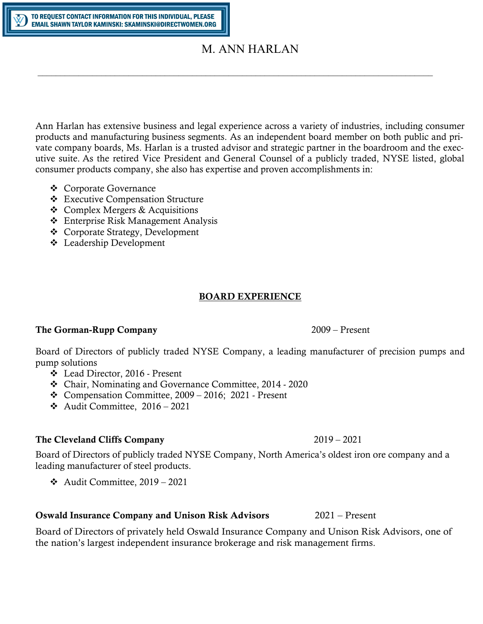# M. ANN HARLAN

 $\_$  , and the contribution of the contribution of the contribution of the contribution of the contribution of  $\mathcal{L}_\text{max}$ 

Ann Harlan has extensive business and legal experience across a variety of industries, including consumer products and manufacturing business segments. As an independent board member on both public and private company boards, Ms. Harlan is a trusted advisor and strategic partner in the boardroom and the executive suite. As the retired Vice President and General Counsel of a publicly traded, NYSE listed, global consumer products company, she also has expertise and proven accomplishments in:

- Corporate Governance
- Executive Compensation Structure
- $\triangle$  Complex Mergers & Acquisitions
- Enterprise Risk Management Analysis
- Corporate Strategy, Development
- Leadership Development

### BOARD EXPERIENCE

### The Gorman-Rupp Company 2009 – Present

Board of Directors of publicly traded NYSE Company, a leading manufacturer of precision pumps and pump solutions

- Lead Director, 2016 Present
- Chair, Nominating and Governance Committee, 2014 2020
- $\div$  Compensation Committee, 2009 2016; 2021 Present
- $\div$  Audit Committee, 2016 2021

### The Cleveland Cliffs Company 2019 – 2021

Board of Directors of publicly traded NYSE Company, North America's oldest iron ore company and a leading manufacturer of steel products.

 $\triangleleft$  Audit Committee, 2019 – 2021

### Oswald Insurance Company and Unison Risk Advisors 2021 – Present

Board of Directors of privately held Oswald Insurance Company and Unison Risk Advisors, one of the nation's largest independent insurance brokerage and risk management firms.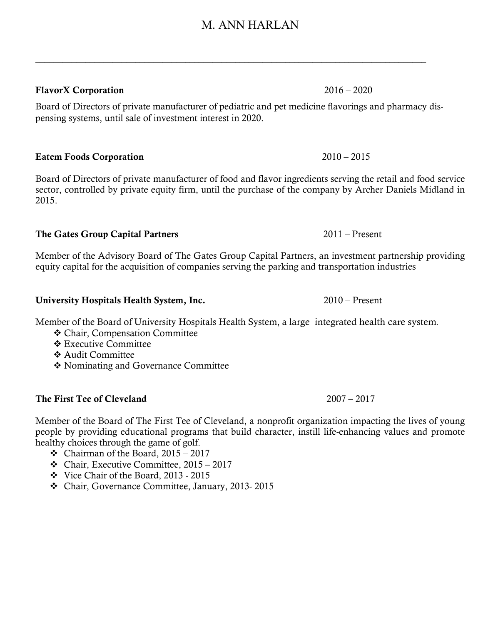### FlavorX Corporation 2016 – 2020

Board of Directors of private manufacturer of pediatric and pet medicine flavorings and pharmacy dispensing systems, until sale of investment interest in 2020.

\_\_\_\_\_\_\_\_\_\_\_\_\_\_\_\_\_\_\_\_\_\_\_\_\_\_\_\_\_\_\_\_\_\_\_\_\_\_\_\_\_\_\_\_\_\_\_\_\_\_\_\_\_\_\_\_\_\_\_\_\_\_\_\_\_\_\_\_\_\_\_\_\_\_\_\_\_\_\_\_\_\_\_\_\_\_

### Eatem Foods Corporation 2010 – 2015

Board of Directors of private manufacturer of food and flavor ingredients serving the retail and food service sector, controlled by private equity firm, until the purchase of the company by Archer Daniels Midland in 2015.

### The Gates Group Capital Partners 2011 – Present

Member of the Advisory Board of The Gates Group Capital Partners, an investment partnership providing equity capital for the acquisition of companies serving the parking and transportation industries

### University Hospitals Health System, Inc. 2010 – Present

Member of the Board of University Hospitals Health System, a large integrated health care system.

- Chair, Compensation Committee
- **Executive Committee**
- Audit Committee
- Nominating and Governance Committee

### The First Tee of Cleveland 2007 – 2017

Member of the Board of The First Tee of Cleveland, a nonprofit organization impacting the lives of young people by providing educational programs that build character, instill life-enhancing values and promote healthy choices through the game of golf.

- $\div$  Chairman of the Board, 2015 2017
- $\div$  Chair, Executive Committee, 2015 2017
- Vice Chair of the Board, 2013 2015
- Chair, Governance Committee, January, 2013- 2015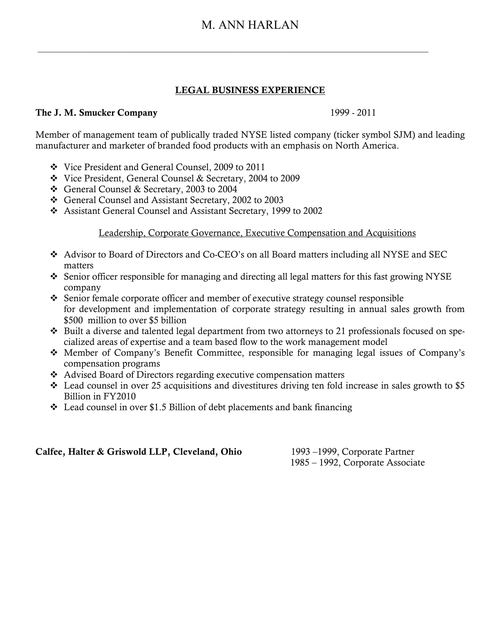## M. ANN HARLAN

 $\_$  , and the contribution of the contribution of the contribution of the contribution of  $\mathcal{L}_\text{max}$ 

### LEGAL BUSINESS EXPERIENCE

### The J. M. Smucker Company 1999 - 2011

Member of management team of publically traded NYSE listed company (ticker symbol SJM) and leading manufacturer and marketer of branded food products with an emphasis on North America.

- Vice President and General Counsel, 2009 to 2011
- Vice President, General Counsel & Secretary, 2004 to 2009
- General Counsel & Secretary, 2003 to 2004
- General Counsel and Assistant Secretary, 2002 to 2003
- Assistant General Counsel and Assistant Secretary, 1999 to 2002

### Leadership, Corporate Governance, Executive Compensation and Acquisitions

- Advisor to Board of Directors and Co-CEO's on all Board matters including all NYSE and SEC matters
- $\bullet$  Senior officer responsible for managing and directing all legal matters for this fast growing NYSE company
- Senior female corporate officer and member of executive strategy counsel responsible for development and implementation of corporate strategy resulting in annual sales growth from \$500 million to over \$5 billion
- \* Built a diverse and talented legal department from two attorneys to 21 professionals focused on specialized areas of expertise and a team based flow to the work management model
- Member of Company's Benefit Committee, responsible for managing legal issues of Company's compensation programs
- Advised Board of Directors regarding executive compensation matters
- $\cdot$  Lead counsel in over 25 acquisitions and divestitures driving ten fold increase in sales growth to \$5 Billion in FY2010
- $\cdot$  Lead counsel in over \$1.5 Billion of debt placements and bank financing

### Calfee, Halter & Griswold LLP, Cleveland, Ohio 1993 –1999, Corporate Partner

1985 – 1992, Corporate Associate